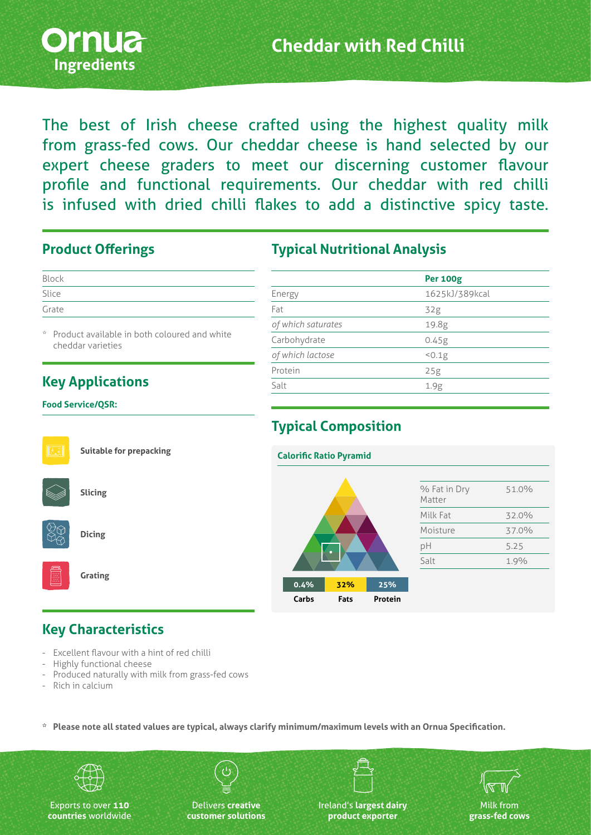

The best of Irish cheese crafted using the highest quality milk from grass-fed cows. Our cheddar cheese is hand selected by our expert cheese graders to meet our discerning customer flavour profile and functional requirements. Our cheddar with red chilli is infused with dried chilli flakes to add a distinctive spicy taste.

#### **Product Offerings**

| Block |  |  |  |
|-------|--|--|--|
| Slice |  |  |  |
| Grate |  |  |  |

Product available in both coloured and white cheddar varieties

# **Key Applications**

#### **Food Service/QSR:**

| <b>Suitable for prepacking</b> |  |
|--------------------------------|--|
| <b>Slicing</b>                 |  |

# **Typical Nutritional Analysis**

|                    | <b>Per 100g</b> |
|--------------------|-----------------|
| Energy             | 1625kJ/389kcal  |
| Fat                | 32g             |
| of which saturates | 19.8g           |
| Carbohydrate       | 0.45g           |
| of which lactose   | 50.1g           |
| Protein            | 25g             |
| Salt               | 1.9g            |
|                    |                 |

# **Typical Composition**



## **Key Characteristics**

- Excellent flavour with a hint of red chilli
- Highly functional cheese

**Dicing**

**Grating**

- Produced naturally with milk from grass-fed cows
- Rich in calcium

**\* Please note all stated values are typical, always clarify minimum/maximum levels with an Ornua Specification.**



Exports to over **110 countries** worldwide

Delivers **creative customer solutions**

Ireland's **largest dairy product exporter**